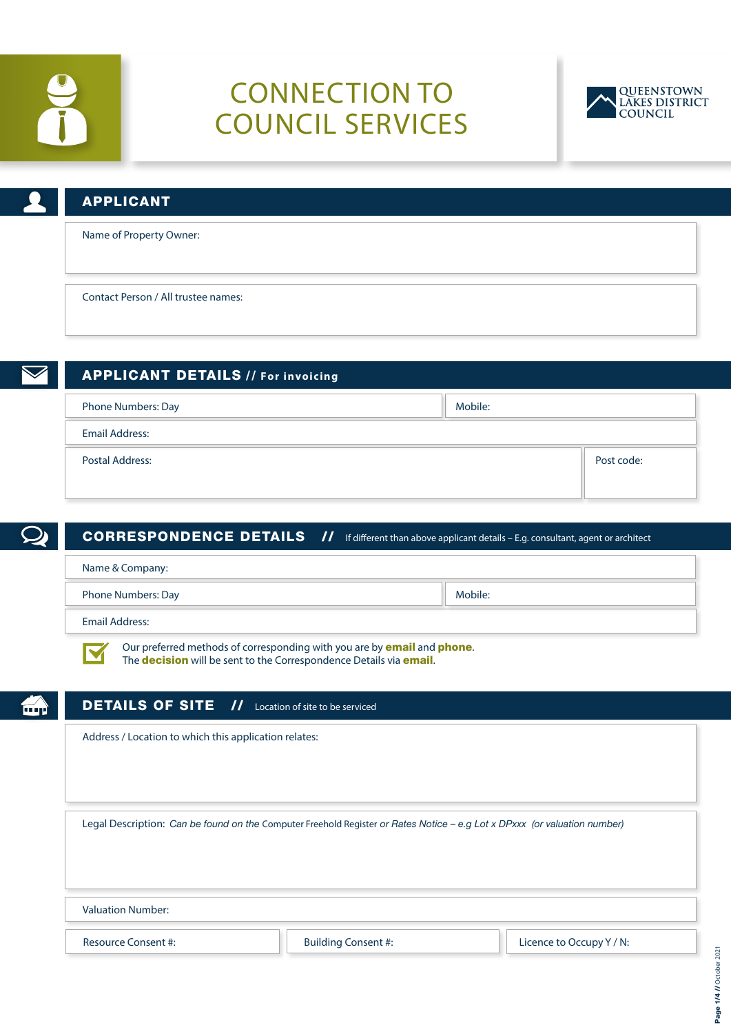

# CONNECTION TO COUNCIL SERVICES



| $\cup$ | <b>APPLICANT</b>                    |
|--------|-------------------------------------|
|        | Name of Property Owner:             |
|        | Contact Person / All trustee names: |

| $\blacktriangledown$ | <b>APPLICANT DETAILS // For invoicing</b> |         |            |
|----------------------|-------------------------------------------|---------|------------|
|                      | Phone Numbers: Day                        | Mobile: |            |
|                      | <b>Email Address:</b>                     |         |            |
|                      | <b>Postal Address:</b>                    |         | Post code: |
|                      |                                           |         |            |

| <b>CORRESPONDENCE DETAILS</b> // If different than above applicant details - E.g. consultant, agent or architect                                                            |         |  |
|-----------------------------------------------------------------------------------------------------------------------------------------------------------------------------|---------|--|
| Name & Company:                                                                                                                                                             |         |  |
| Phone Numbers: Day                                                                                                                                                          | Mobile: |  |
| <b>Email Address:</b>                                                                                                                                                       |         |  |
| Our preferred methods of corresponding with you are by <b>email</b> and <b>phone</b> .<br>The <b>decision</b> will be sent to the Correspondence Details via <b>email</b> . |         |  |
| <b>DETAILS OF SITE //</b> Location of site to be serviced                                                                                                                   |         |  |
| Address / Location to which this application relates:                                                                                                                       |         |  |
|                                                                                                                                                                             |         |  |
|                                                                                                                                                                             |         |  |
| Legal Description: Can be found on the Computer Freehold Register or Rates Notice - e.g Lot x DPxxx (or valuation number)                                                   |         |  |
|                                                                                                                                                                             |         |  |
| Valuation Number                                                                                                                                                            |         |  |

Valuation Number:

Resource Consent #:  $\blacksquare$  Building Consent #:  $\blacksquare$  Licence to Occupy Y / N: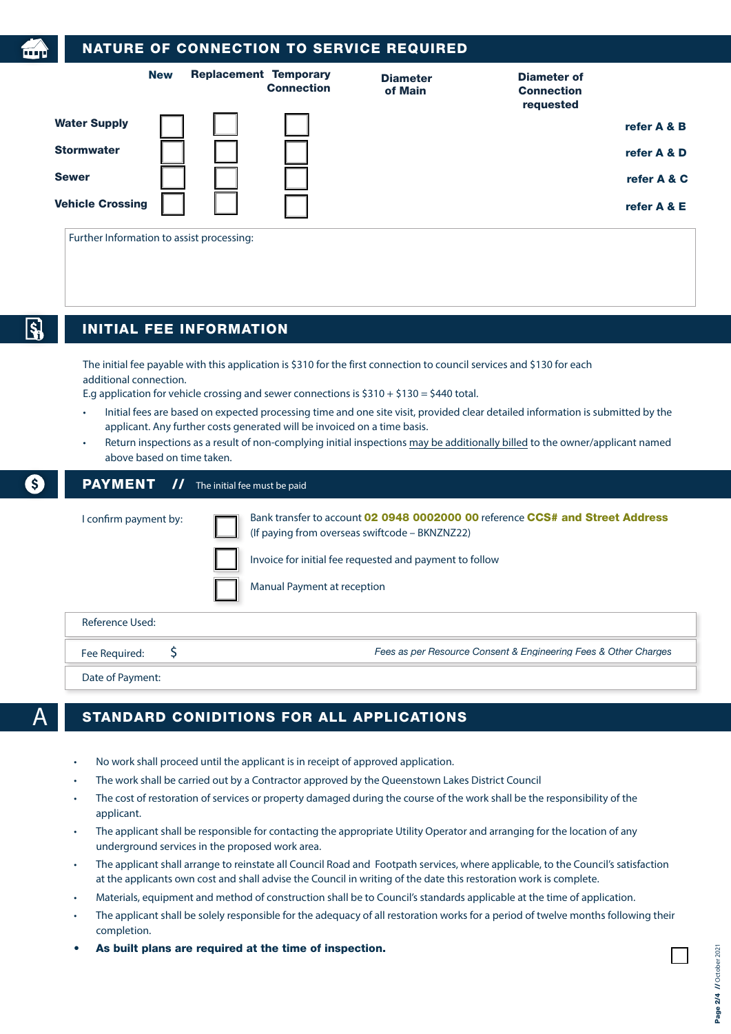| <b>New</b>                                |                                             | <b>Replacement Temporary</b><br><b>Connection</b>                        | <b>Diameter</b><br>of Main                                                                | <b>Diameter of</b><br><b>Connection</b><br>requested                                                                           |
|-------------------------------------------|---------------------------------------------|--------------------------------------------------------------------------|-------------------------------------------------------------------------------------------|--------------------------------------------------------------------------------------------------------------------------------|
| <b>Water Supply</b>                       |                                             |                                                                          |                                                                                           | refer A & B                                                                                                                    |
| <b>Stormwater</b>                         |                                             |                                                                          |                                                                                           | refer A & D                                                                                                                    |
| <b>Sewer</b>                              |                                             |                                                                          |                                                                                           | refer A & C                                                                                                                    |
| <b>Vehicle Crossing</b>                   |                                             |                                                                          |                                                                                           | refer A & E                                                                                                                    |
| Further Information to assist processing: |                                             |                                                                          |                                                                                           |                                                                                                                                |
| <b>INITIAL FEE INFORMATION</b>            |                                             |                                                                          |                                                                                           |                                                                                                                                |
|                                           | additional connection.                      | applicant. Any further costs generated will be invoiced on a time basis. | E.g application for vehicle crossing and sewer connections is $$310 + $130 = $440$ total. | Initial fees are based on expected processing time and one site visit, provided clear detailed information is submitted by the |
| above based on time taken.                |                                             |                                                                          |                                                                                           | Return inspections as a result of non-complying initial inspections may be additionally billed to the owner/applicant named    |
| <b>PAYMENT</b>                            | $\prime\prime$ The initial fee must be paid |                                                                          |                                                                                           |                                                                                                                                |
| I confirm payment by:                     |                                             |                                                                          | (If paying from overseas swiftcode - BKNZNZ22)                                            | Bank transfer to account 02 0948 0002000 00 reference CCS# and Street Address                                                  |
|                                           |                                             |                                                                          | Invoice for initial fee requested and payment to follow                                   |                                                                                                                                |
|                                           |                                             | Manual Payment at reception                                              |                                                                                           |                                                                                                                                |
| <b>Reference Used:</b>                    |                                             |                                                                          |                                                                                           |                                                                                                                                |
| \$<br>Fee Required:                       |                                             |                                                                          |                                                                                           | Fees as per Resource Consent & Engineering Fees & Other Charges                                                                |
| Date of Payment:                          |                                             |                                                                          |                                                                                           |                                                                                                                                |
|                                           |                                             |                                                                          | <b>STANDARD CONIDITIONS FOR ALL APPLICATIONS</b>                                          |                                                                                                                                |

- The work shall be carried out by a Contractor approved by the Queenstown Lakes District Council
- The cost of restoration of services or property damaged during the course of the work shall be the responsibility of the applicant.
- The applicant shall be responsible for contacting the appropriate Utility Operator and arranging for the location of any underground services in the proposed work area.
- The applicant shall arrange to reinstate all Council Road and Footpath services, where applicable, to the Council's satisfaction at the applicants own cost and shall advise the Council in writing of the date this restoration work is complete.
- Materials, equipment and method of construction shall be to Council's standards applicable at the time of application.
- The applicant shall be solely responsible for the adequacy of all restoration works for a period of twelve months following their completion.
- As built plans are required at the time of inspection.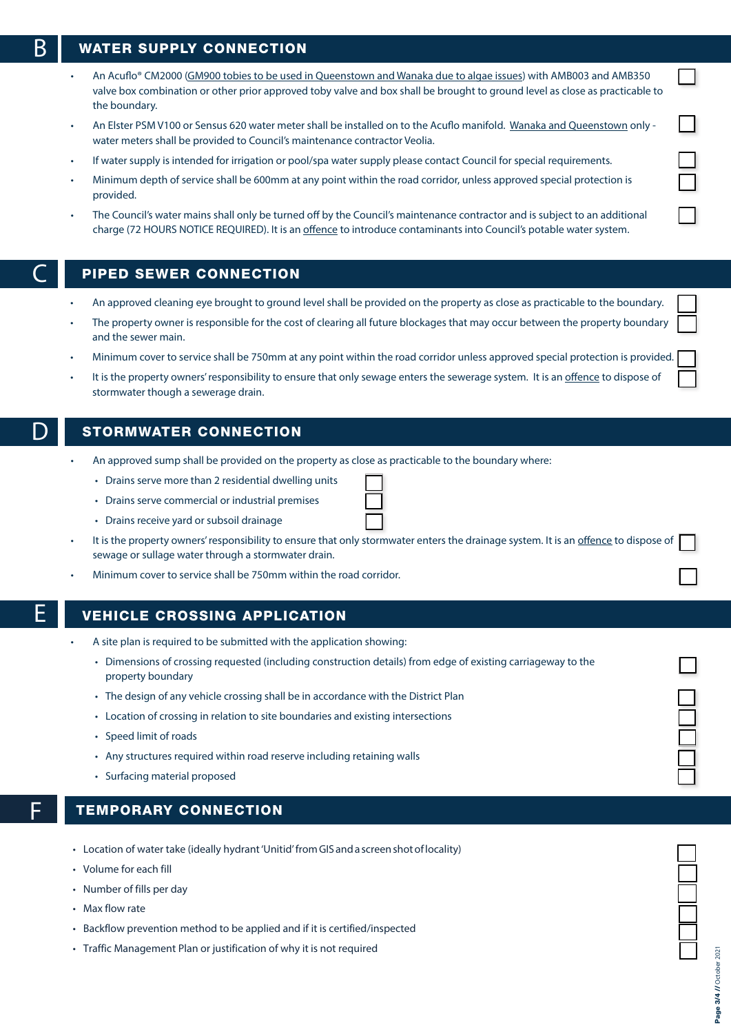## $\mathsf R$   $\mathsf I$  water supply connection

- An Acuflo® CM2000 (GM900 tobies to be used in Queenstown and Wanaka due to algae issues) with AMB003 and AMB350 valve box combination or other prior approved toby valve and box shall be brought to ground level as close as practicable to the boundary.
- An Elster PSM V100 or Sensus 620 water meter shall be installed on to the Acuflo manifold. Wanaka and Queenstown only water meters shall be provided to Council's maintenance contractor Veolia.
- If water supply is intended for irrigation or pool/spa water supply please contact Council for special requirements.
- Minimum depth of service shall be 600mm at any point within the road corridor, unless approved special protection is provided.
- The Council's water mains shall only be turned off by the Council's maintenance contractor and is subject to an additional charge (72 HOURS NOTICE REQUIRED). It is an offence to introduce contaminants into Council's potable water system.

### PIPED SEWER CONNECTION

- An approved cleaning eye brought to ground level shall be provided on the property as close as practicable to the boundary.
- The property owner is responsible for the cost of clearing all future blockages that may occur between the property boundary and the sewer main.
- Minimum cover to service shall be 750mm at any point within the road corridor unless approved special protection is provided.
- It is the property owners' responsibility to ensure that only sewage enters the sewerage system. It is an offence to dispose of stormwater though a sewerage drain.

### STORMWATER CONNECTION

- An approved sump shall be provided on the property as close as practicable to the boundary where:
	- Drains serve more than 2 residential dwelling units
	- Drains serve commercial or industrial premises
	- Drains receive yard or subsoil drainage
- It is the property owners' responsibility to ensure that only stormwater enters the drainage system. It is an offence to dispose of sewage or sullage water through a stormwater drain.
- Minimum cover to service shall be 750mm within the road corridor.

### **VEHICLE CROSSING APPLICATION**

- A site plan is required to be submitted with the application showing:
	- Dimensions of crossing requested (including construction details) from edge of existing carriageway to the property boundary
	- The design of any vehicle crossing shall be in accordance with the District Plan
	- Location of crossing in relation to site boundaries and existing intersections
	- Speed limit of roads
	- Any structures required within road reserve including retaining walls
	- Surfacing material proposed

### **TEMPORARY CONNECTION**

- Location of water take (ideally hydrant 'Unitid' from GIS and a screen shot of locality)
- Volume for each fill
- Number of fills per day
- Max flow rate
- Backflow prevention method to be applied and if it is certified/inspected
- Traffic Management Plan or justification of why it is not required